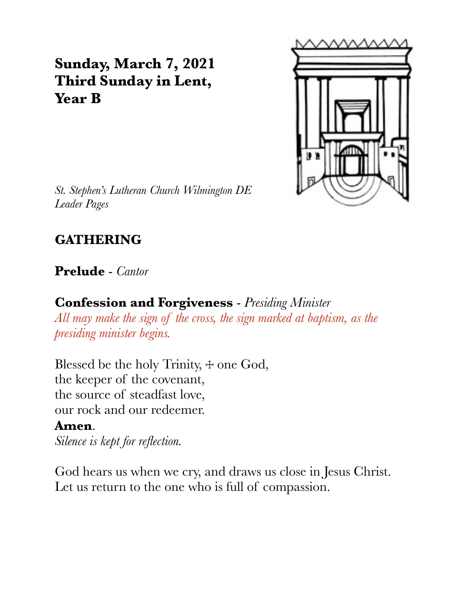# **Sunday, March 7, 2021 Third Sunday in Lent, Year B**



*St. Stephen's Lutheran Church Wilmington DE Leader Pages*

# **GATHERING**

### **Prelude** - *Cantor*

### **Confession and Forgiveness** - *Presiding Minister*

*All may make the sign of the cross, the sign marked at baptism, as the presiding minister begins.*

Blessed be the holy Trinity,  $+$  one God, the keeper of the covenant, the source of steadfast love, our rock and our redeemer.

#### **Amen**.

*Silence is kept for reflection.*

God hears us when we cry, and draws us close in Jesus Christ. Let us return to the one who is full of compassion.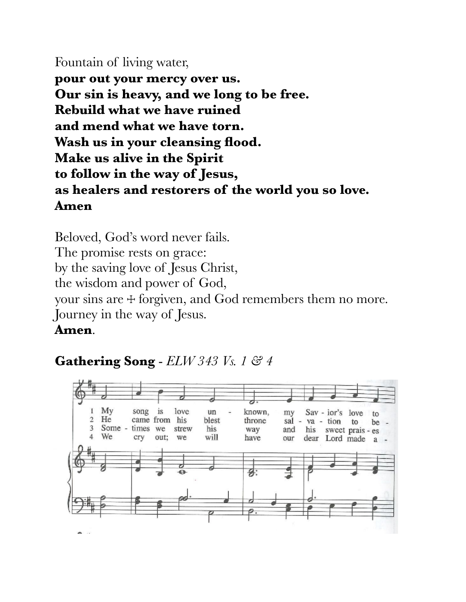### Fountain of living water,

**pour out your mercy over us. Our sin is heavy, and we long to be free. Rebuild what we have ruined and mend what we have torn. Wash us in your cleansing flood. Make us alive in the Spirit to follow in the way of Jesus, as healers and restorers of the world you so love. Amen**

Beloved, God's word never fails. The promise rests on grace: by the saving love of Jesus Christ, the wisdom and power of God, your sins are ☩ forgiven, and God remembers them no more. Journey in the way of Jesus.

#### **Amen**.

## **Gathering Song** - *ELW 343 Vs. 1 & 4*

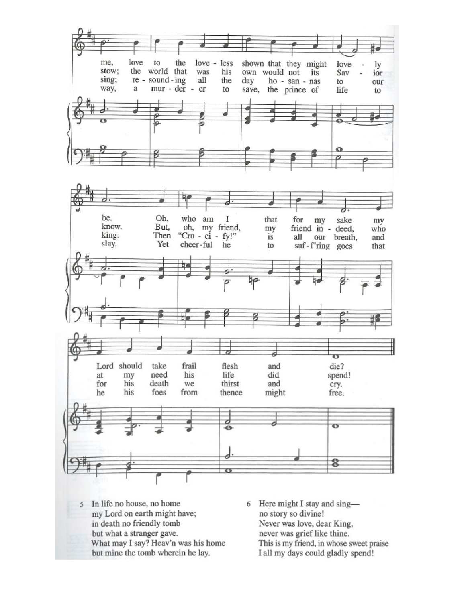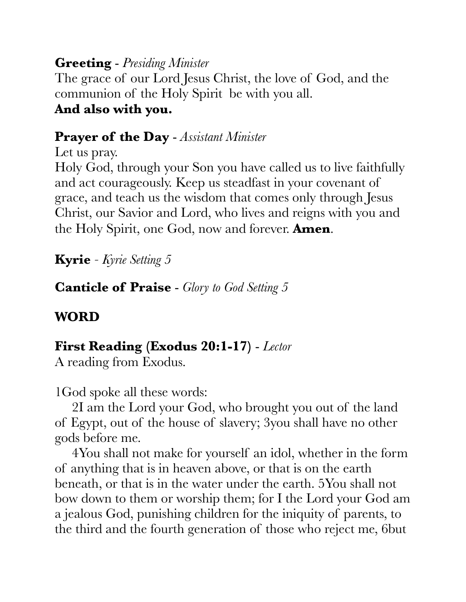### **Greeting** - *Presiding Minister*

The grace of our Lord Jesus Christ, the love of God, and the communion of the Holy Spirit be with you all.

### **And also with you.**

### **Prayer of the Day** - *Assistant Minister*

Let us pray.

Holy God, through your Son you have called us to live faithfully and act courageously. Keep us steadfast in your covenant of grace, and teach us the wisdom that comes only through Jesus Christ, our Savior and Lord, who lives and reigns with you and the Holy Spirit, one God, now and forever. **Amen**.

**Kyrie** *- Kyrie Setting 5*

**Canticle of Praise** - *Glory to God Setting 5*

# **WORD**

## **First Reading (Exodus 20:1-17)** - *Lector*

A reading from Exodus.

1God spoke all these words:

 2I am the Lord your God, who brought you out of the land of Egypt, out of the house of slavery; 3you shall have no other gods before me.

 4You shall not make for yourself an idol, whether in the form of anything that is in heaven above, or that is on the earth beneath, or that is in the water under the earth. 5You shall not bow down to them or worship them; for I the Lord your God am a jealous God, punishing children for the iniquity of parents, to the third and the fourth generation of those who reject me, 6but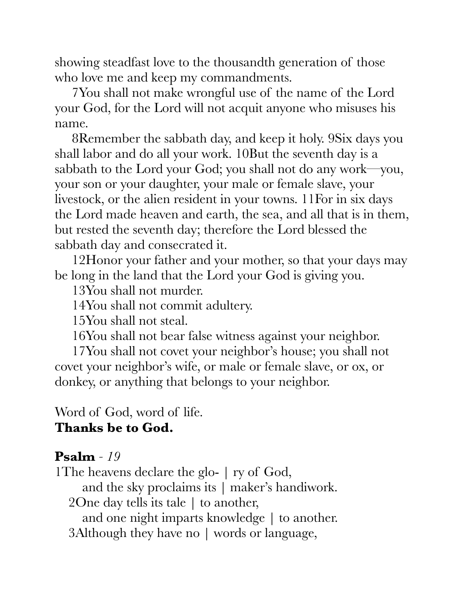showing steadfast love to the thousandth generation of those who love me and keep my commandments.

 7You shall not make wrongful use of the name of the Lord your God, for the Lord will not acquit anyone who misuses his name.

 8Remember the sabbath day, and keep it holy. 9Six days you shall labor and do all your work. 10But the seventh day is a sabbath to the Lord your God; you shall not do any work—you, your son or your daughter, your male or female slave, your livestock, or the alien resident in your towns. 11For in six days the Lord made heaven and earth, the sea, and all that is in them, but rested the seventh day; therefore the Lord blessed the sabbath day and consecrated it.

 12Honor your father and your mother, so that your days may be long in the land that the Lord your God is giving you.

13You shall not murder.

14You shall not commit adultery.

15You shall not steal.

16You shall not bear false witness against your neighbor.

 17You shall not covet your neighbor's house; you shall not covet your neighbor's wife, or male or female slave, or ox, or donkey, or anything that belongs to your neighbor.

Word of God, word of life.

### **Thanks be to God.**

### **Psalm** *- 19*

1The heavens declare the glo- | ry of God, and the sky proclaims its | maker's handiwork. 2One day tells its tale | to another, and one night imparts knowledge | to another. 3Although they have no | words or language,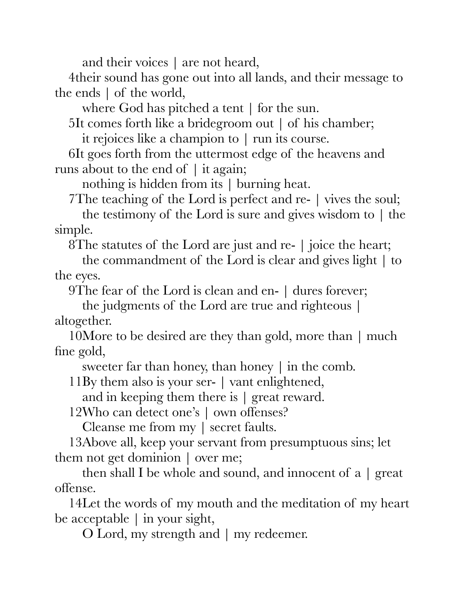and their voices | are not heard,

4their sound has gone out into all lands, and their message to the ends | of the world,

where God has pitched a tent | for the sun.

5It comes forth like a bridegroom out | of his chamber;

it rejoices like a champion to | run its course.

6It goes forth from the uttermost edge of the heavens and runs about to the end of | it again;

nothing is hidden from its | burning heat.

7The teaching of the Lord is perfect and re- | vives the soul;

 the testimony of the Lord is sure and gives wisdom to | the simple.

8The statutes of the Lord are just and re- | joice the heart;

 the commandment of the Lord is clear and gives light | to the eyes.

9The fear of the Lord is clean and en- | dures forever;

 the judgments of the Lord are true and righteous | altogether.

10More to be desired are they than gold, more than | much fine gold,

sweeter far than honey, than honey | in the comb.

11By them also is your ser- | vant enlightened,

and in keeping them there is | great reward.

12Who can detect one's | own offenses?

Cleanse me from my | secret faults.

13Above all, keep your servant from presumptuous sins; let them not get dominion | over me;

then shall I be whole and sound, and innocent of  $a \mid \text{great}$ offense.

14Let the words of my mouth and the meditation of my heart be acceptable | in your sight,

O Lord, my strength and | my redeemer.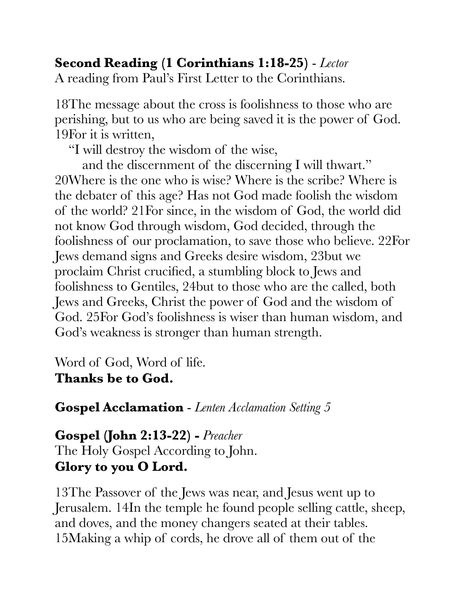# **Second Reading (1 Corinthians 1:18-25)** - *Lector*

A reading from Paul's First Letter to the Corinthians.

18The message about the cross is foolishness to those who are perishing, but to us who are being saved it is the power of God. 19For it is written,

"I will destroy the wisdom of the wise,

 and the discernment of the discerning I will thwart." 20Where is the one who is wise? Where is the scribe? Where is the debater of this age? Has not God made foolish the wisdom of the world? 21For since, in the wisdom of God, the world did not know God through wisdom, God decided, through the foolishness of our proclamation, to save those who believe. 22For Jews demand signs and Greeks desire wisdom, 23but we proclaim Christ crucified, a stumbling block to Jews and foolishness to Gentiles, 24but to those who are the called, both Jews and Greeks, Christ the power of God and the wisdom of God. 25For God's foolishness is wiser than human wisdom, and God's weakness is stronger than human strength.

Word of God, Word of life. **Thanks be to God.**

**Gospel Acclamation** - *Lenten Acclamation Setting 5*

# **Gospel (John 2:13-22) -** *Preacher* The Holy Gospel According to John.

**Glory to you O Lord.**

13The Passover of the Jews was near, and Jesus went up to Jerusalem. 14In the temple he found people selling cattle, sheep, and doves, and the money changers seated at their tables. 15Making a whip of cords, he drove all of them out of the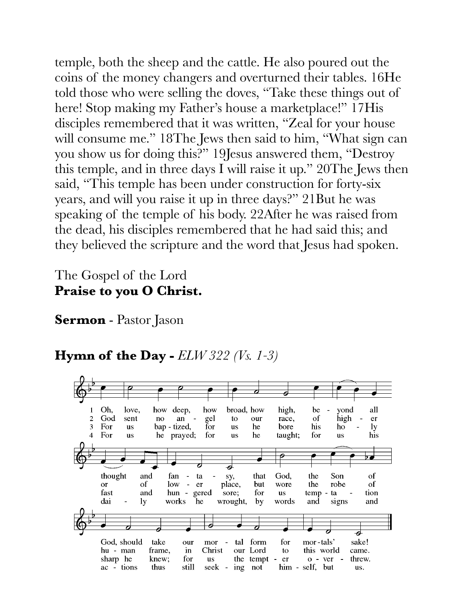temple, both the sheep and the cattle. He also poured out the coins of the money changers and overturned their tables. 16He told those who were selling the doves, "Take these things out of here! Stop making my Father's house a marketplace!" 17His disciples remembered that it was written, "Zeal for your house will consume me." 18The Jews then said to him, "What sign can you show us for doing this?" 19Jesus answered them, "Destroy this temple, and in three days I will raise it up." 20The Jews then said, "This temple has been under construction for forty-six years, and will you raise it up in three days?" 21But he was speaking of the temple of his body. 22After he was raised from the dead, his disciples remembered that he had said this; and they believed the scripture and the word that Jesus had spoken.

### The Gospel of the Lord **Praise to you O Christ.**

**Sermon** - Pastor Jason

# **Hymn of the Day -** *ELW 322 (Vs. 1-3)*

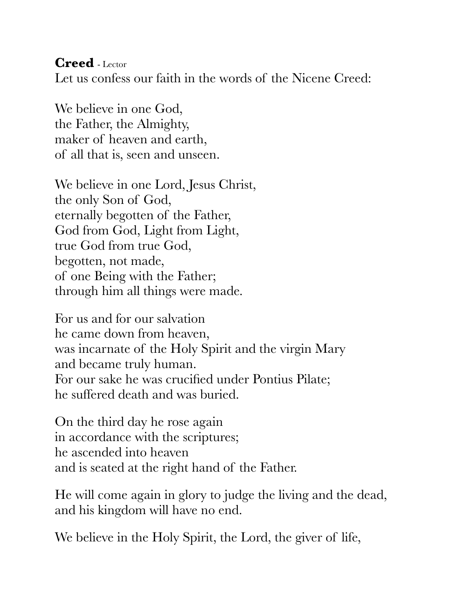**Creed** - Lector Let us confess our faith in the words of the Nicene Creed:

We believe in one God, the Father, the Almighty, maker of heaven and earth, of all that is, seen and unseen.

We believe in one Lord, Jesus Christ, the only Son of God, eternally begotten of the Father, God from God, Light from Light, true God from true God, begotten, not made, of one Being with the Father; through him all things were made.

For us and for our salvation he came down from heaven, was incarnate of the Holy Spirit and the virgin Mary and became truly human. For our sake he was crucified under Pontius Pilate; he suffered death and was buried.

On the third day he rose again in accordance with the scriptures; he ascended into heaven and is seated at the right hand of the Father.

He will come again in glory to judge the living and the dead, and his kingdom will have no end.

We believe in the Holy Spirit, the Lord, the giver of life,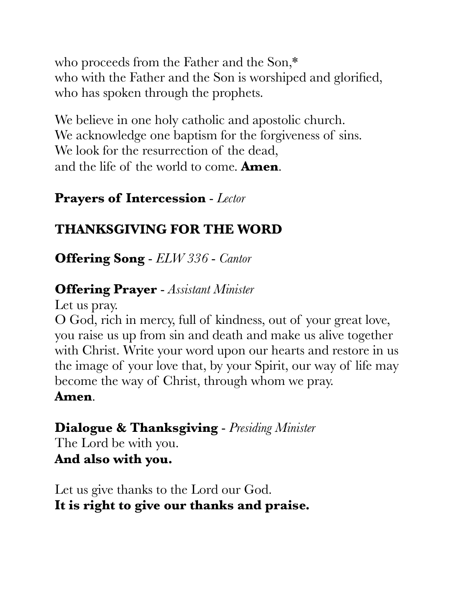who proceeds from the Father and the Son,\* who with the Father and the Son is worshiped and glorified, who has spoken through the prophets.

We believe in one holy catholic and apostolic church. We acknowledge one baptism for the forgiveness of sins. We look for the resurrection of the dead, and the life of the world to come. **Amen**.

# **Prayers of Intercession** - *Lector*

# **THANKSGIVING FOR THE WORD**

**Offering Song** - *ELW 336* - *Cantor*

### **Offering Prayer** - *Assistant Minister*

Let us pray.

O God, rich in mercy, full of kindness, out of your great love, you raise us up from sin and death and make us alive together with Christ. Write your word upon our hearts and restore in us the image of your love that, by your Spirit, our way of life may become the way of Christ, through whom we pray.

### **Amen**.

### **Dialogue & Thanksgiving** - *Presiding Minister*

The Lord be with you. **And also with you.**

Let us give thanks to the Lord our God. **It is right to give our thanks and praise.**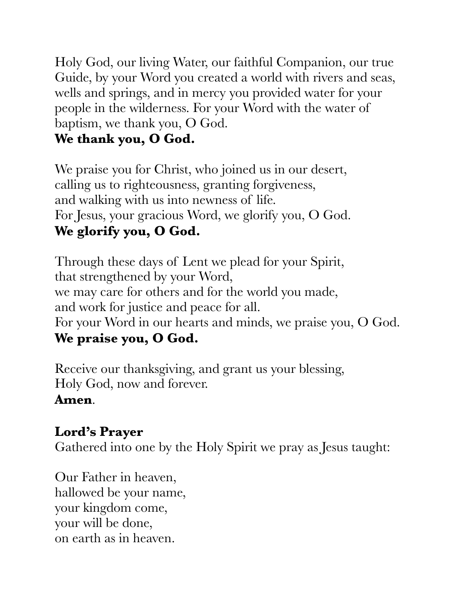Holy God, our living Water, our faithful Companion, our true Guide, by your Word you created a world with rivers and seas, wells and springs, and in mercy you provided water for your people in the wilderness. For your Word with the water of baptism, we thank you, O God.

# **We thank you, O God.**

We praise you for Christ, who joined us in our desert, calling us to righteousness, granting forgiveness, and walking with us into newness of life. For Jesus, your gracious Word, we glorify you, O God. **We glorify you, O God.**

Through these days of Lent we plead for your Spirit, that strengthened by your Word, we may care for others and for the world you made, and work for justice and peace for all. For your Word in our hearts and minds, we praise you, O God. **We praise you, O God.**

Receive our thanksgiving, and grant us your blessing, Holy God, now and forever.

## **Amen**.

# **Lord's Prayer**

Gathered into one by the Holy Spirit we pray as Jesus taught:

Our Father in heaven, hallowed be your name, your kingdom come, your will be done, on earth as in heaven.